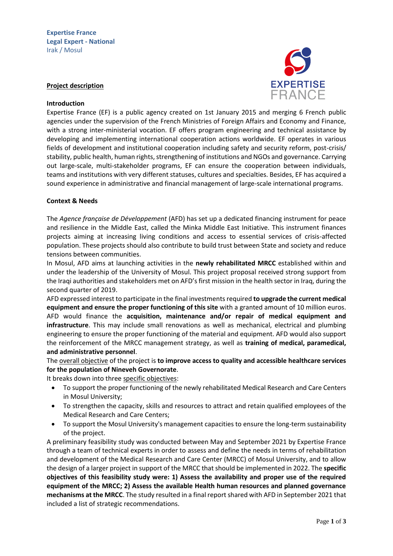

### **Project description**

#### **Introduction**

Expertise France (EF) is a public agency created on 1st January 2015 and merging 6 French public agencies under the supervision of the French Ministries of Foreign Affairs and Economy and Finance, with a strong inter-ministerial vocation. EF offers program engineering and technical assistance by developing and implementing international cooperation actions worldwide. EF operates in various fields of development and institutional cooperation including safety and security reform, post-crisis/ stability, public health, human rights, strengthening of institutions and NGOs and governance. Carrying out large-scale, multi-stakeholder programs, EF can ensure the cooperation between individuals, teams and institutions with very different statuses, cultures and specialties. Besides, EF has acquired a sound experience in administrative and financial management of large-scale international programs.

### **Context & Needs**

The *Agence française de Développement* (AFD) has set up a dedicated financing instrument for peace and resilience in the Middle East, called the Minka Middle East Initiative. This instrument finances projects aiming at increasing living conditions and access to essential services of crisis-affected population. These projects should also contribute to build trust between State and society and reduce tensions between communities.

In Mosul, AFD aims at launching activities in the **newly rehabilitated MRCC** established within and under the leadership of the University of Mosul. This project proposal received strong support from the Iraqi authorities and stakeholders met on AFD's first mission in the health sector in Iraq, during the second quarter of 2019.

AFD expressed interest to participate in the final investments required **to upgrade the current medical equipment and ensure the proper functioning of this site** with a granted amount of 10 million euros. AFD would finance the **acquisition, maintenance and/or repair of medical equipment and infrastructure**. This may include small renovations as well as mechanical, electrical and plumbing engineering to ensure the proper functioning of the material and equipment. AFD would also support the reinforcement of the MRCC management strategy, as well as **training of medical, paramedical, and administrative personnel**.

The overall objective of the project is **to improve access to quality and accessible healthcare services for the population of Nineveh Governorate**.

It breaks down into three specific objectives:

- To support the proper functioning of the newly rehabilitated Medical Research and Care Centers in Mosul University;
- To strengthen the capacity, skills and resources to attract and retain qualified employees of the Medical Research and Care Centers;
- To support the Mosul University's management capacities to ensure the long-term sustainability of the project.

A preliminary feasibility study was conducted between May and September 2021 by Expertise France through a team of technical experts in order to assess and define the needs in terms of rehabilitation and development of the Medical Research and Care Center (MRCC) of Mosul University, and to allow the design of a larger project in support of the MRCC that should be implemented in 2022. The **specific objectives of this feasibility study were: 1) Assess the availability and proper use of the required equipment of the MRCC; 2) Assess the available Health human resources and planned governance mechanisms at the MRCC**. The study resulted in a final report shared with AFD in September 2021 that included a list of strategic recommendations.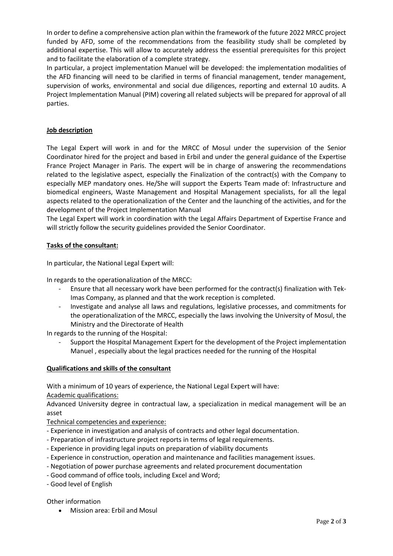In order to define a comprehensive action plan within the framework of the future 2022 MRCC project funded by AFD, some of the recommendations from the feasibility study shall be completed by additional expertise. This will allow to accurately address the essential prerequisites for this project and to facilitate the elaboration of a complete strategy.

In particular, a project implementation Manuel will be developed: the implementation modalities of the AFD financing will need to be clarified in terms of financial management, tender management, supervision of works, environmental and social due diligences, reporting and external 10 audits. A Project Implementation Manual (PIM) covering all related subjects will be prepared for approval of all parties.

# **Job description**

The Legal Expert will work in and for the MRCC of Mosul under the supervision of the Senior Coordinator hired for the project and based in Erbil and under the general guidance of the Expertise France Project Manager in Paris. The expert will be in charge of answering the recommendations related to the legislative aspect, especially the Finalization of the contract(s) with the Company to especially MEP mandatory ones. He/She will support the Experts Team made of: Infrastructure and biomedical engineers, Waste Management and Hospital Management specialists, for all the legal aspects related to the operationalization of the Center and the launching of the activities, and for the development of the Project Implementation Manual

The Legal Expert will work in coordination with the Legal Affairs Department of Expertise France and will strictly follow the security guidelines provided the Senior Coordinator.

# **Tasks of the consultant:**

In particular, the National Legal Expert will:

In regards to the operationalization of the MRCC:

- Ensure that all necessary work have been performed for the contract(s) finalization with Tek-Imas Company, as planned and that the work reception is completed.
- Investigate and analyse all laws and regulations, legislative processes, and commitments for the operationalization of the MRCC, especially the laws involving the University of Mosul, the Ministry and the Directorate of Health

In regards to the running of the Hospital:

- Support the Hospital Management Expert for the development of the Project implementation Manuel , especially about the legal practices needed for the running of the Hospital

### **Qualifications and skills of the consultant**

With a minimum of 10 years of experience, the National Legal Expert will have:

Academic qualifications:

Advanced University degree in contractual law, a specialization in medical management will be an asset

Technical competencies and experience:

- Experience in investigation and analysis of contracts and other legal documentation.
- Preparation of infrastructure project reports in terms of legal requirements.
- Experience in providing legal inputs on preparation of viability documents
- Experience in construction, operation and maintenance and facilities management issues.
- Negotiation of power purchase agreements and related procurement documentation
- Good command of office tools, including Excel and Word;
- Good level of English

Other information

Mission area: Erbil and Mosul